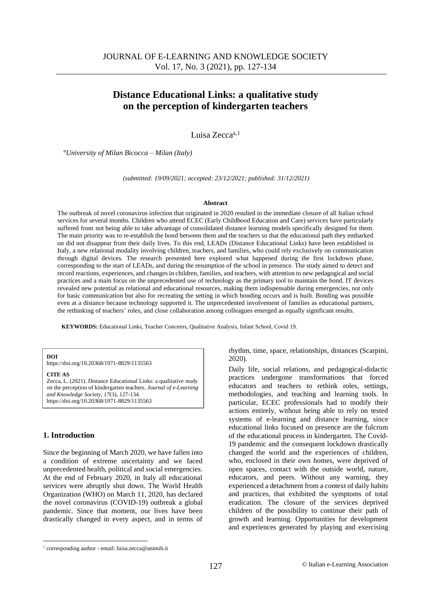# **Distance Educational Links: a qualitative study on the perception of kindergarten teachers**

Luisa Zecca<sup>a, 1</sup>

*<sup>a</sup>University of Milan Bicocca – Milan (Italy)*

*(submitted: 19/09/2021; accepted: 23/12/2021; published: 31/12/2021)*

#### **Abstract**

The outbreak of novel coronavirus infection that originated in 2020 resulted in the immediate closure of all Italian school services for several months. Children who attend ECEC (Early Childhood Education and Care) services have particularly suffered from not being able to take advantage of consolidated distance learning models specifically designed for them. The main priority was to re-establish the bond between them and the teachers so that the educational path they embarked on did not disappear from their daily lives. To this end, LEADs (Distance Educational Links) have been established in Italy, a new relational modality involving children, teachers, and families, who could rely exclusively on communication through digital devices. The research presented here explored what happened during the first lockdown phase, corresponding to the start of LEADs, and during the resumption of the school in presence. The study aimed to detect and record reactions, experiences, and changes in children, families, and teachers, with attention to new pedagogical and social practices and a main focus on the unprecedented use of technology as the primary tool to maintain the bond. IT devices revealed new potential as relational and educational resources, making them indispensable during emergencies, not only for basic communication but also for recreating the setting in which bonding occurs and is built. Bonding was possible even at a distance because technology supported it. The unprecedented involvement of families as educational partners, the rethinking of teachers' roles, and close collaboration among colleagues emerged as equally significant results.

**KEYWORDS:** Educational Links, Teacher Concerns, Qualitative Analysis, Infant School, Covid 19.

**DOI**

https://doi.org/10.20368/1971-8829/1135563

#### **CITE AS**

Zecca, L. (2021). Distance Educational Links: a qualitative study on the perception of kindergarten teachers. *Journal of e-Learning and Knowledge Society*, *17*(3), 127-134. https://doi.org/10.20368/1971-8829/1135563

# **1. Introduction**

Since the beginning of March 2020, we have fallen into a condition of extreme uncertainty and we faced unprecedented health, political and social emergencies. At the end of February 2020, in Italy all educational services were abruptly shut down. The World Health Organization (WHO) on March 11, 2020, has declared the novel coronavirus (COVID-19) outbreak a global pandemic. Since that moment, our lives have been drastically changed in every aspect, and in terms of rhythm, time, space, relationships, distances (Scarpini, 2020).

Daily life, social relations, and pedagogical-didactic practices undergone transformations that forced educators and teachers to rethink roles, settings, methodologies, and teaching and learning tools. In particular, ECEC professionals had to modify their actions entirely, without being able to rely on tested systems of e-learning and distance learning, since educational links focused on presence are the fulcrum of the educational process in kindergarten. The Covid-19 pandemic and the consequent lockdown drastically changed the world and the experiences of children, who, enclosed in their own homes, were deprived of open spaces, contact with the outside world, nature, educators, and peers. Without any warning, they experienced a detachment from a context of daily habits and practices, that exhibited the symptoms of total eradication. The closure of the services deprived children of the possibility to continue their path of growth and learning. Opportunities for development and experiences generated by playing and exercising

<sup>1</sup> corresponding author - email: luisa.zecca@unimib.it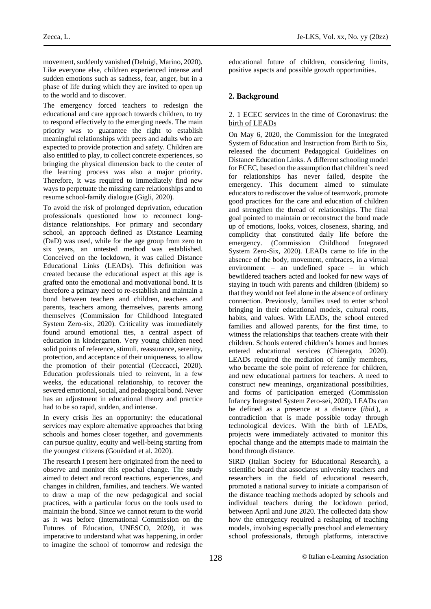movement, suddenly vanished (Deluigi, Marino, 2020). Like everyone else, children experienced intense and sudden emotions such as sadness, fear, anger, but in a phase of life during which they are invited to open up to the world and to discover.

The emergency forced teachers to redesign the educational and care approach towards children, to try to respond effectively to the emerging needs. The main priority was to guarantee the right to establish meaningful relationships with peers and adults who are expected to provide protection and safety. Children are also entitled to play, to collect concrete experiences, so bringing the physical dimension back to the center of the learning process was also a major priority. Therefore, it was required to immediately find new ways to perpetuate the missing care relationships and to resume school-family dialogue (Gigli, 2020).

To avoid the risk of prolonged deprivation, education professionals questioned how to reconnect longdistance relationships. For primary and secondary school, an approach defined as Distance Learning (DaD) was used, while for the age group from zero to six years, an untested method was established. Conceived on the lockdown, it was called Distance Educational Links (LEADs). This definition was created because the educational aspect at this age is grafted onto the emotional and motivational bond. It is therefore a primary need to re-establish and maintain a bond between teachers and children, teachers and parents, teachers among themselves, parents among themselves (Commission for Childhood Integrated System Zero-six, 2020). Criticality was immediately found around emotional ties, a central aspect of education in kindergarten. Very young children need solid points of reference, stimuli, reassurance, serenity, protection, and acceptance of their uniqueness, to allow the promotion of their potential (Ceccacci, 2020). Education professionals tried to reinvent, in a few weeks, the educational relationship, to recover the severed emotional, social, and pedagogical bond. Never has an adjustment in educational theory and practice had to be so rapid, sudden, and intense.

In every crisis lies an opportunity: the educational services may explore alternative approaches that bring schools and homes closer together, and governments can pursue quality, equity and well-being starting from the youngest citizens (Gouëdard et al. 2020).

The research I present here originated from the need to observe and monitor this epochal change. The study aimed to detect and record reactions, experiences, and changes in children, families, and teachers. We wanted to draw a map of the new pedagogical and social practices, with a particular focus on the tools used to maintain the bond. Since we cannot return to the world as it was before (International Commission on the Futures of Education, UNESCO, 2020), it was imperative to understand what was happening, in order to imagine the school of tomorrow and redesign the educational future of children, considering limits, positive aspects and possible growth opportunities.

# **2. Background**

### 2. 1 ECEC services in the time of Coronavirus: the birth of LEADs

On May 6, 2020, the Commission for the Integrated System of Education and Instruction from Birth to Six, released the document Pedagogical Guidelines on Distance Education Links. A different schooling model for ECEC, based on the assumption that children's need for relationships has never failed, despite the emergency. This document aimed to stimulate educators to rediscover the value of teamwork, promote good practices for the care and education of children and strengthen the thread of relationships. The final goal pointed to maintain or reconstruct the bond made up of emotions, looks, voices, closeness, sharing, and complicity that constituted daily life before the emergency. (Commission Childhood Integrated System Zero-Six, 2020). LEADs came to life in the absence of the body, movement, embraces, in a virtual environment – an undefined space – in which bewildered teachers acted and looked for new ways of staying in touch with parents and children (ibidem) so that they would not feel alone in the absence of ordinary connection. Previously, families used to enter school bringing in their educational models, cultural roots, habits, and values. With LEADs, the school entered families and allowed parents, for the first time, to witness the relationships that teachers create with their children. Schools entered children's homes and homes entered educational services (Chieregato, 2020). LEADs required the mediation of family members, who became the sole point of reference for children, and new educational partners for teachers. A need to construct new meanings, organizational possibilities, and forms of participation emerged (Commission Infancy Integrated System Zero-sei, 2020). LEADs can be defined as a presence at a distance (*ibid.*), a contradiction that is made possible today through technological devices. With the birth of LEADs, projects were immediately activated to monitor this epochal change and the attempts made to maintain the bond through distance.

SIRD (Italian Society for Educational Research), a scientific board that associates university teachers and researchers in the field of educational research, promoted a national survey to initiate a comparison of the distance teaching methods adopted by schools and individual teachers during the lockdown period, between April and June 2020. The collected data show how the emergency required a reshaping of teaching models, involving especially preschool and elementary school professionals, through platforms, interactive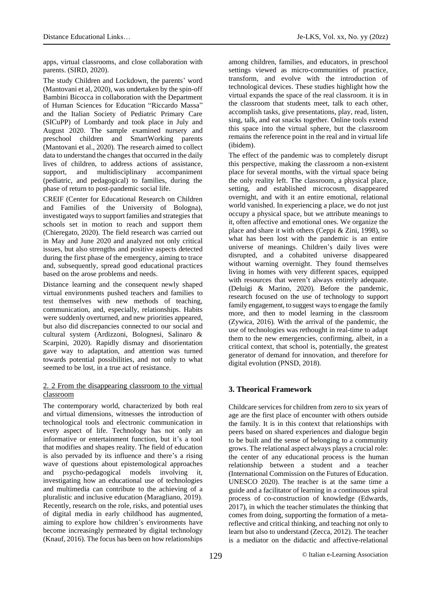apps, virtual classrooms, and close collaboration with parents. (SIRD, 2020).

The study Children and Lockdown, the parents' word (Mantovani et al, 2020), was undertaken by the spin-off Bambini Bicocca in collaboration with the Department of Human Sciences for Education "Riccardo Massa" and the Italian Society of Pediatric Primary Care (SICuPP) of Lombardy and took place in July and August 2020. The sample examined nursery and preschool children and SmartWorking parents (Mantovani et al., 2020). The research aimed to collect data to understand the changes that occurred in the daily lives of children, to address actions of assistance, support, and multidisciplinary accompaniment (pediatric, and pedagogical) to families, during the phase of return to post-pandemic social life.

CREIF (Center for Educational Research on Children and Families of the University of Bologna), investigated ways to support families and strategies that schools set in motion to reach and support them (Chieregato, 2020). The field research was carried out in May and June 2020 and analyzed not only critical issues, but also strengths and positive aspects detected during the first phase of the emergency, aiming to trace and, subsequently, spread good educational practices based on the arose problems and needs.

Distance learning and the consequent newly shaped virtual environments pushed teachers and families to test themselves with new methods of teaching, communication, and, especially, relationships. Habits were suddenly overturned, and new priorities appeared, but also did discrepancies connected to our social and cultural system (Ardizzoni, Bolognesi, Salinaro & Scarpini, 2020). Rapidly dismay and disorientation gave way to adaptation, and attention was turned towards potential possibilities, and not only to what seemed to be lost, in a true act of resistance.

## 2. 2 From the disappearing classroom to the virtual classroom

The contemporary world, characterized by both real and virtual dimensions, witnesses the introduction of technological tools and electronic communication in every aspect of life. Technology has not only an informative or entertainment function, but it's a tool that modifies and shapes reality. The field of education is also pervaded by its influence and there's a rising wave of questions about epistemological approaches and psycho-pedagogical models involving it, investigating how an educational use of technologies and multimedia can contribute to the achieving of a pluralistic and inclusive education (Maragliano, 2019). Recently, research on the role, risks, and potential uses of digital media in early childhood has augmented, aiming to explore how children's environments have become increasingly permeated by digital technology (Knauf, 2016). The focus has been on how relationships among children, families, and educators, in preschool settings viewed as micro-communities of practice, transform, and evolve with the introduction of technological devices. These studies highlight how the virtual expands the space of the real classroom. it is in the classroom that students meet, talk to each other, accomplish tasks, give presentations, play, read, listen, sing, talk, and eat snacks together. Online tools extend this space into the virtual sphere, but the classroom remains the reference point in the real and in virtual life (ibidem).

The effect of the pandemic was to completely disrupt this perspective, making the classroom a non-existent place for several months, with the virtual space being the only reality left. The classroom, a physical place, setting, and established microcosm, disappeared overnight, and with it an entire emotional, relational world vanished. In experiencing a place, we do not just occupy a physical space, but we attribute meanings to it, often affective and emotional ones. We organize the place and share it with others (Ceppi & Zini, 1998), so what has been lost with the pandemic is an entire universe of meanings. Children's daily lives were disrupted, and a cohabited universe disappeared without warning overnight. They found themselves living in homes with very different spaces, equipped with resources that weren't always entirely adequate. (Deluigi & Marino, 2020). Before the pandemic, research focused on the use of technology to support family engagement, to suggest ways to engage the family more, and then to model learning in the classroom (Zywica, 2016). With the arrival of the pandemic, the use of technologies was rethought in real-time to adapt them to the new emergencies, confirming, albeit, in a critical context, that school is, potentially, the greatest generator of demand for innovation, and therefore for digital evolution (PNSD, 2018).

# **3. Theorical Framework**

Childcare services for children from zero to six years of age are the first place of encounter with others outside the family. It is in this context that relationships with peers based on shared experiences and dialogue begin to be built and the sense of belonging to a community grows. The relational aspect always plays a crucial role: the center of any educational process is the human relationship between a student and a teacher (International Commission on theFutures of Education. UNESCO 2020). The teacher is at the same time a guide and a facilitator of learning in a continuous spiral process of co-construction of knowledge (Edwards, 2017), in which the teacher stimulates the thinking that comes from doing, supporting the formation of a metareflective and critical thinking, and teaching not only to learn but also to understand (Zecca, 2012). The teacher is a mediator on the didactic and affective-relational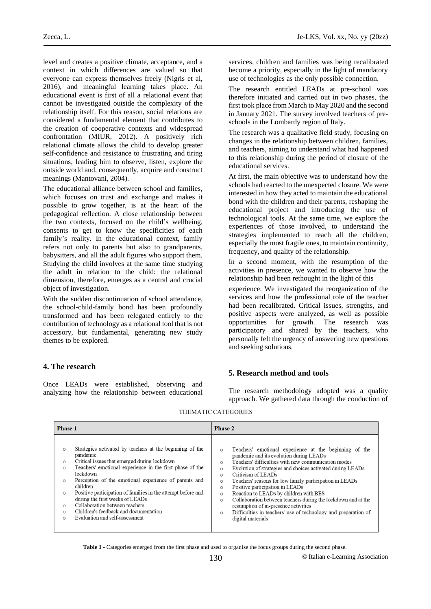level and creates a positive climate, acceptance, and a context in which differences are valued so that everyone can express themselves freely (Nigris et al, 2016), and meaningful learning takes place. An educational event is first of all a relational event that cannot be investigated outside the complexity of the relationship itself. For this reason, social relations are considered a fundamental element that contributes to the creation of cooperative contexts and widespread confrontation (MIUR, 2012). A positively rich relational climate allows the child to develop greater self-confidence and resistance to frustrating and tiring situations, leading him to observe, listen, explore the outside world and, consequently, acquire and construct meanings (Mantovani, 2004).

The educational alliance between school and families, which focuses on trust and exchange and makes it possible to grow together, is at the heart of the pedagogical reflection. A close relationship between the two contexts, focused on the child's wellbeing, consents to get to know the specificities of each family's reality. In the educational context, family refers not only to parents but also to grandparents, babysitters, and all the adult figures who support them. Studying the child involves at the same time studying the adult in relation to the child: the relational dimension, therefore, emerges as a central and crucial object of investigation.

With the sudden discontinuation of school attendance, the school-child-family bond has been profoundly transformed and has been relegated entirely to the contribution of technology as a relational tool that is not accessory, but fundamental, generating new study themes to be explored.

### services, children and families was being recalibrated become a priority, especially in the light of mandatory use of technologies as the only possible connection.

The research entitled LEADs at pre-school was therefore initiated and carried out in two phases, the first took place from March to May 2020 and the second in January 2021. The survey involved teachers of preschools in the Lombardy region of Italy.

The research was a qualitative field study, focusing on changes in the relationship between children, families, and teachers, aiming to understand what had happened to this relationship during the period of closure of the educational services.

At first, the main objective was to understand how the schools had reacted to the unexpected closure. We were interested in how they acted to maintain the educational bond with the children and their parents, reshaping the educational project and introducing the use of technological tools. At the same time, we explore the experiences of those involved, to understand the strategies implemented to reach all the children, especially the most fragile ones, to maintain continuity, frequency, and quality of the relationship.

In a second moment, with the resumption of the activities in presence, we wanted to observe how the relationship had been rethought in the light of this

experience. We investigated the reorganization of the services and how the professional role of the teacher had been recalibrated. Critical issues, strengths, and positive aspects were analyzed, as well as possible opportunities for growth. The research was participatory and shared by the teachers, who personally felt the urgency of answering new questions and seeking solutions.

# **4. The research**

Once LEADs were established, observing and analyzing how the relationship between educational

**5. Research method and tools**

The research methodology adopted was a quality approach. We gathered data through the conduction of

| <b>Phase 1</b>                                                                                                                                                                                                                                                                                                                                                                                                                                                                                                                                                               | <b>Phase 2</b>                                                                                                                                                                                                                                                                                                                                                                                                                                                                                                                                                                                                                                                                               |
|------------------------------------------------------------------------------------------------------------------------------------------------------------------------------------------------------------------------------------------------------------------------------------------------------------------------------------------------------------------------------------------------------------------------------------------------------------------------------------------------------------------------------------------------------------------------------|----------------------------------------------------------------------------------------------------------------------------------------------------------------------------------------------------------------------------------------------------------------------------------------------------------------------------------------------------------------------------------------------------------------------------------------------------------------------------------------------------------------------------------------------------------------------------------------------------------------------------------------------------------------------------------------------|
| Strategies activated by teachers at the beginning of the<br>$\bigcirc$<br>pandemic<br>Critical issues that emerged during lockdown<br>$\circ$<br>Teachers' emotional experience in the first phase of the<br>$\circ$<br>lockdown<br>Perception of the emotional experience of parents and<br>$\circ$<br>children<br>Positive participation of families in the attempt before and<br>$\circ$<br>during the first weeks of LEADs<br>Collaboration between teachers<br>$\circ$<br>Children's feedback and documentation<br>$\circ$<br>Evaluation and self-assessment<br>$\circ$ | Teachers' emotional experience at the beginning of the<br>$\circ$<br>pandemic and its evolution during LEADs<br>Teachers' difficulties with new communication modes<br>$\bigcap$<br>Evolution of strategies and choices activated during LEADs<br>$\circ$<br>Criticism of LEADs<br>$\bigcirc$<br>Teachers' reasons for low family participation in LEADs<br>$\circ$<br>Positive participation in LEADs<br>$\circ$<br>Reaction to LEADs by children with BES<br>$\circ$<br>Collaboration between teachers during the lockdown and at the<br>$\circ$<br>resumption of in-presence activities<br>Difficulties in teachers' use of technology and preparation of<br>$\circ$<br>digital materials |

#### THEMATIC CATEGORIES

**Table 1** - Categories emerged from the first phase and used to organise the focus groups during the second phase.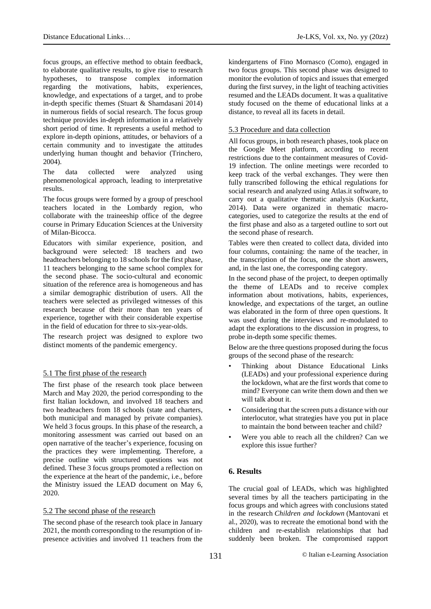focus groups, an effective method to obtain feedback, to elaborate qualitative results, to give rise to research hypotheses, to transpose complex information regarding the motivations, habits, experiences, knowledge, and expectations of a target, and to probe in-depth specific themes (Stuart & Shamdasani 2014) in numerous fields of social research. The focus group technique provides in-depth information in a relatively short period of time. It represents a useful method to explore in-depth opinions, attitudes, or behaviors of a certain community and to investigate the attitudes underlying human thought and behavior (Trinchero, 2004).

The data collected were analyzed using phenomenological approach, leading to interpretative results.

The focus groups were formed by a group of preschool teachers located in the Lombardy region, who collaborate with the traineeship office of the degree course in Primary Education Sciences at the University of Milan-Bicocca.

Educators with similar experience, position, and background were selected: 18 teachers and two headteachers belonging to 18 schools for the first phase, 11 teachers belonging to the same school complex for the second phase. The socio-cultural and economic situation of the reference area is homogeneous and has a similar demographic distribution of users. All the teachers were selected as privileged witnesses of this research because of their more than ten years of experience, together with their considerable expertise in the field of education for three to six-year-olds.

The research project was designed to explore two distinct moments of the pandemic emergency.

# 5.1 The first phase of the research

The first phase of the research took place between March and May 2020, the period corresponding to the first Italian lockdown, and involved 18 teachers and two headteachers from 18 schools (state and charters, both municipal and managed by private companies). We held 3 focus groups. In this phase of the research, a monitoring assessment was carried out based on an open narrative of the teacher's experience, focusing on the practices they were implementing. Therefore, a precise outline with structured questions was not defined. These 3 focus groups promoted a reflection on the experience at the heart of the pandemic, i.e., before the Ministry issued the LEAD document on May 6, 2020.

### 5.2 The second phase of the research

The second phase of the research took place in January 2021, the month corresponding to the resumption of inpresence activities and involved 11 teachers from the

kindergartens of Fino Mornasco (Como), engaged in two focus groups. This second phase was designed to monitor the evolution of topics and issues that emerged during the first survey, in the light of teaching activities resumed and the LEADs document. It was a qualitative study focused on the theme of educational links at a distance, to reveal all its facets in detail.

## 5.3 Procedure and data collection

All focus groups, in both research phases, took place on the Google Meet platform, according to recent restrictions due to the containment measures of Covid-19 infection. The online meetings were recorded to keep track of the verbal exchanges. They were then fully transcribed following the ethical regulations for social research and analyzed using Atlas.it software, to carry out a qualitative thematic analysis (Kuckartz, 2014). Data were organized in thematic macrocategories, used to categorize the results at the end of the first phase and also as a targeted outline to sort out the second phase of research.

Tables were then created to collect data, divided into four columns, containing: the name of the teacher, in the transcription of the focus, one the short answers, and, in the last one, the corresponding category.

In the second phase of the project, to deepen optimally the theme of LEADs and to receive complex information about motivations, habits, experiences, knowledge, and expectations of the target, an outline was elaborated in the form of three open questions. It was used during the interviews and re-modulated to adapt the explorations to the discussion in progress, to probe in-depth some specific themes.

Below are the three questions proposed during the focus groups of the second phase of the research:

- Thinking about Distance Educational Links (LEADs) and your professional experience during the lockdown, what are the first words that come to mind? Everyone can write them down and then we will talk about it.
- Considering that the screen puts a distance with our interlocutor, what strategies have you put in place to maintain the bond between teacher and child?
- Were you able to reach all the children? Can we explore this issue further?

# **6. Results**

The crucial goal of LEADs, which was highlighted several times by all the teachers participating in the focus groups and which agrees with conclusions stated in the research *Children and lockdown* (Mantovani et al., 2020), was to recreate the emotional bond with the children and re-establish relationships that had suddenly been broken. The compromised rapport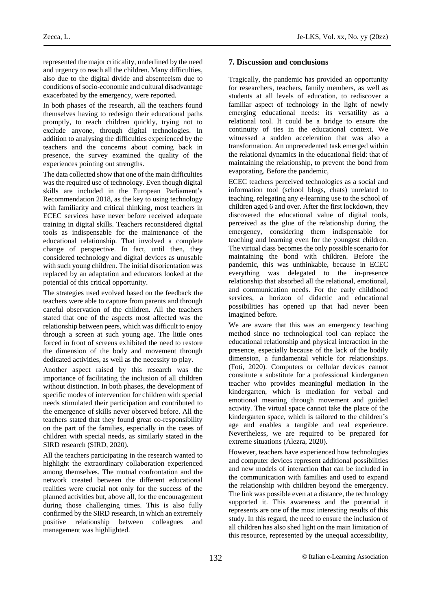represented the major criticality, underlined by the need and urgency to reach all the children. Many difficulties, also due to the digital divide and absenteeism due to conditions of socio-economic and cultural disadvantage exacerbated by the emergency, were reported.

In both phases of the research, all the teachers found themselves having to redesign their educational paths promptly, to reach children quickly, trying not to exclude anyone, through digital technologies. In addition to analysing the difficulties experienced by the teachers and the concerns about coming back in presence, the survey examined the quality of the experiences pointing out strengths.

The data collected show that one of the main difficulties was the required use of technology. Even though digital skills are included in the European Parliament's Recommendation 2018, as the key to using technology with familiarity and critical thinking, most teachers in ECEC services have never before received adequate training in digital skills. Teachers reconsidered digital tools as indispensable for the maintenance of the educational relationship. That involved a complete change of perspective. In fact, until then, they considered technology and digital devices as unusable with such young children. The initial disorientation was replaced by an adaptation and educators looked at the potential of this critical opportunity.

The strategies used evolved based on the feedback the teachers were able to capture from parents and through careful observation of the children. All the teachers stated that one of the aspects most affected was the relationship between peers, which was difficult to enjoy through a screen at such young age. The little ones forced in front of screens exhibited the need to restore the dimension of the body and movement through dedicated activities, as well as the necessity to play.

Another aspect raised by this research was the importance of facilitating the inclusion of all children without distinction. In both phases, the development of specific modes of intervention for children with special needs stimulated their participation and contributed to the emergence of skills never observed before. All the teachers stated that they found great co-responsibility on the part of the families, especially in the cases of children with special needs, as similarly stated in the SIRD research (SIRD, 2020).

All the teachers participating in the research wanted to highlight the extraordinary collaboration experienced among themselves. The mutual confrontation and the network created between the different educational realities were crucial not only for the success of the planned activities but, above all, for the encouragement during those challenging times. This is also fully confirmed by the SIRD research, in which an extremely positive relationship between colleagues and management was highlighted.

### **7. Discussion and conclusions**

Tragically, the pandemic has provided an opportunity for researchers, teachers, family members, as well as students at all levels of education, to rediscover a familiar aspect of technology in the light of newly emerging educational needs: its versatility as a relational tool. It could be a bridge to ensure the continuity of ties in the educational context. We witnessed a sudden acceleration that was also a transformation. An unprecedented task emerged within the relational dynamics in the educational field: that of maintaining the relationship, to prevent the bond from evaporating. Before the pandemic,

ECEC teachers perceived technologies as a social and information tool (school blogs, chats) unrelated to teaching, relegating any e-learning use to the school of children aged 6 and over. After the first lockdown, they discovered the educational value of digital tools, perceived as the glue of the relationship during the emergency, considering them indispensable for teaching and learning even for the youngest children. The virtual class becomes the only possible scenario for maintaining the bond with children. Before the pandemic, this was unthinkable, because in ECEC everything was delegated to the in-presence relationship that absorbed all the relational, emotional, and communication needs. For the early childhood services, a horizon of didactic and educational possibilities has opened up that had never been imagined before.

We are aware that this was an emergency teaching method since no technological tool can replace the educational relationship and physical interaction in the presence, especially because of the lack of the bodily dimension, a fundamental vehicle for relationships. (Foti, 2020). Computers or cellular devices cannot constitute a substitute for a professional kindergarten teacher who provides meaningful mediation in the kindergarten, which is mediation for verbal and emotional meaning through movement and guided activity. The virtual space cannot take the place of the kindergarten space, which is tailored to the children's age and enables a tangible and real experience. Nevertheless, we are required to be prepared for extreme situations (Alezra, 2020).

However, teachers have experienced how technologies and computer devices represent additional possibilities and new models of interaction that can be included in the communication with families and used to expand the relationship with children beyond the emergency. The link was possible even at a distance, the technology supported it. This awareness and the potential it represents are one of the most interesting results of this study. In this regard, the need to ensure the inclusion of all children has also shed light on the main limitation of this resource, represented by the unequal accessibility,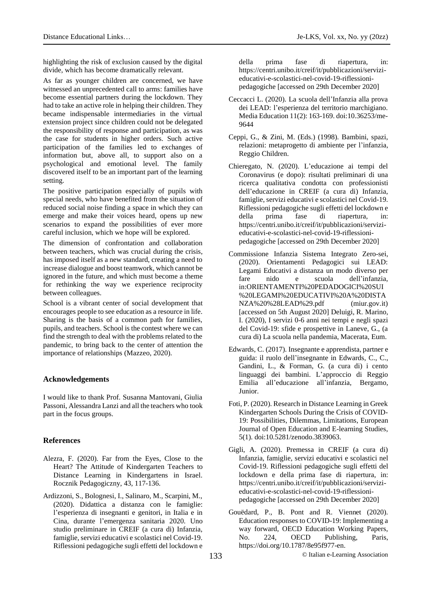highlighting the risk of exclusion caused by the digital divide, which has become dramatically relevant.

As far as younger children are concerned, we have witnessed an unprecedented call to arms: families have become essential partners during the lockdown. They had to take an active role in helping their children. They became indispensable intermediaries in the virtual extension project since children could not be delegated the responsibility of response and participation, as was the case for students in higher orders. Such active participation of the families led to exchanges of information but, above all, to support also on a psychological and emotional level. The family discovered itself to be an important part of the learning setting.

The positive participation especially of pupils with special needs, who have benefited from the situation of reduced social noise finding a space in which they can emerge and make their voices heard, opens up new scenarios to expand the possibilities of ever more careful inclusion, which we hope will be explored.

The dimension of confrontation and collaboration between teachers, which was crucial during the crisis, has imposed itself as a new standard, creating a need to increase dialogue and boost teamwork, which cannot be ignored in the future, and which must become a theme for rethinking the way we experience reciprocity between colleagues.

School is a vibrant center of social development that encourages people to see education as a resource in life. Sharing is the basis of a common path for families, pupils, and teachers. School is the contest where we can find the strength to deal with the problems related to the pandemic, to bring back to the center of attention the importance of relationships (Mazzeo, 2020).

#### **Acknowledgements**

I would like to thank Prof. Susanna Mantovani, Giulia Passoni, Alessandra Lanzi and all the teachers who took part in the focus groups.

### **References**

- Alezra, F. (2020). Far from the Eyes, Close to the Heart? The Attitude of Kindergarten Teachers to Distance Learning in Kindergartens in Israel. Rocznik Pedagogiczny, 43, 117-136.
- Ardizzoni, S., Bolognesi, I., Salinaro, M., Scarpini, M., (2020). Didattica a distanza con le famiglie: l'esperienza di insegnanti e genitori, in Italia e in Cina, durante l'emergenza sanitaria 2020. Uno studio preliminare in CREIF (a cura di) Infanzia, famiglie, servizi educativi e scolastici nel Covid-19. Riflessioni pedagogiche sugli effetti del lockdown e

della prima fase di riapertura, in: https://centri.unibo.it/creif/it/pubblicazioni/servizieducativi-e-scolastici-nel-covid-19-riflessionipedagogiche [accessed on 29th December 2020]

- Ceccacci L. (2020). La scuola dell'Infanzia alla prova dei LEAD: l'esperienza del territorio marchigiano. Media Education 11(2): 163-169. doi:10.36253/me-9644
- Ceppi, G., & Zini, M. (Eds.) (1998). Bambini, spazi, relazioni: metaprogetto di ambiente per l'infanzia, Reggio Children.
- Chieregato, N. (2020). L'educazione ai tempi del Coronavirus (e dopo): risultati preliminari di una ricerca qualitativa condotta con professionisti dell'educazione in CREIF (a cura di) Infanzia, famiglie, servizi educativi e scolastici nel Covid-19. Riflessioni pedagogiche sugli effetti del lockdown e della prima fase di riapertura, in: https://centri.unibo.it/creif/it/pubblicazioni/servizieducativi-e-scolastici-nel-covid-19-riflessionipedagogiche [accessed on 29th December 2020]
- Commissione Infanzia Sistema Integrato Zero-sei, (2020). Orientamenti Pedagogici sui LEAD: Legami Educativi a distanza un modo diverso per fare nido e scuola dell'infanzia, in:ORIENTAMENTI%20PEDADOGICI%20SUI %20LEGAMI%20EDUCATIVI%20A%20DISTA NZA%20%28LEAD%29.pdf (miur.gov.it) [accessed on 5th August 2020] Deluigi, R. Marino, I. (2020), I servizi 0-6 anni nei tempi e negli spazi del Covid-19: sfide e prospettive in Laneve, G., (a cura di) La scuola nella pandemia, Macerata, Eum.
- Edwards, C. (2017). Insegnante e apprendista, partner e guida: il ruolo dell'insegnante in Edwards, C., C., Gandini, L., & Forman, G. (a cura di) i cento linguaggi dei bambini. L'approccio di Reggio Emilia all'educazione all'infanzia, Bergamo, Junior.
- Foti,P. (2020). Research in Distance Learning in Greek Kindergarten Schools During the Crisis of COVID-19: Possibilities, Dilemmas, Limitations, European Journal of Open Education and E-learning Studies, 5(1). doi:10.5281/zenodo.3839063.
- Gigli, A. (2020). Premessa in CREIF (a cura di) Infanzia, famiglie, servizi educativi e scolastici nel Covid-19. Riflessioni pedagogiche sugli effetti del lockdown e della prima fase di riapertura, in: https://centri.unibo.it/creif/it/pubblicazioni/servizieducativi-e-scolastici-nel-covid-19-riflessionipedagogiche [accessed on 29th December 2020]
- Gouëdard, P., B. Pont and R. Viennet (2020). Education responses to COVID-19: Implementing a way forward, OECD Education Working Papers, No. 224, OECD Publishing, Paris, https://doi.org/10.1787/8e95f977-en.

133 © Italian e-Learning Association